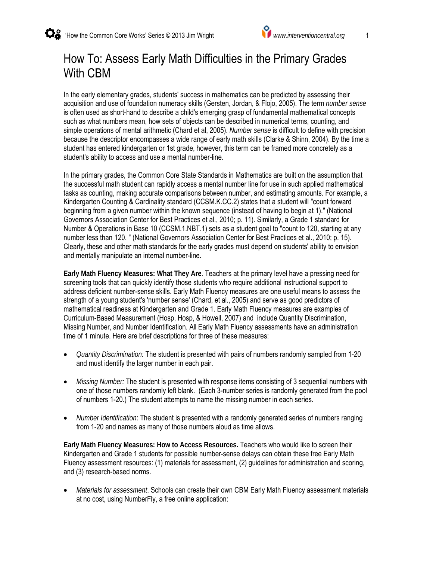# How To: Assess Early Math Difficulties in the Primary Grades With CBM

In the early elementary grades, students' success in mathematics can be predicted by assessing their acquisition and use of foundation numeracy skills (Gersten, Jordan, & Flojo, 2005). The term *number sense* is often used as short-hand to describe a child's emerging grasp of fundamental mathematical concepts such as what numbers mean, how sets of objects can be described in numerical terms, counting, and simple operations of mental arithmetic (Chard et al, 2005). *Number sense* is difficult to define with precision because the descriptor encompasses a wide range of early math skills (Clarke & Shinn, 2004). By the time a student has entered kindergarten or 1st grade, however, this term can be framed more concretely as a student's ability to access and use a mental number-line.

In the primary grades, the Common Core State Standards in Mathematics are built on the assumption that the successful math student can rapidly access a mental number line for use in such applied mathematical tasks as counting, making accurate comparisons between number, and estimating amounts. For example, a Kindergarten Counting & Cardinality standard (CCSM.K.CC.2) states that a student will "count forward beginning from a given number within the known sequence (instead of having to begin at 1)." (National Governors Association Center for Best Practices et al., 2010; p. 11). Similarly, a Grade 1 standard for Number & Operations in Base 10 (CCSM.1.NBT.1) sets as a student goal to "count to 120, starting at any number less than 120. " (National Governors Association Center for Best Practices et al., 2010; p. 15). Clearly, these and other math standards for the early grades must depend on students' ability to envision and mentally manipulate an internal number-line.

**Early Math Fluency Measures: What They Are**. Teachers at the primary level have a pressing need for screening tools that can quickly identify those students who require additional instructional support to address deficient number-sense skills. Early Math Fluency measures are one useful means to assess the strength of a young student's 'number sense' (Chard, et al., 2005) and serve as good predictors of mathematical readiness at Kindergarten and Grade 1. Early Math Fluency measures are examples of Curriculum-Based Measurement (Hosp, Hosp, & Howell, 2007) and include Quantity Discrimination, Missing Number, and Number Identification. All Early Math Fluency assessments have an administration time of 1 minute. Here are brief descriptions for three of these measures:

- *Quantity Discrimination:* The student is presented with pairs of numbers randomly sampled from 1-20 and must identify the larger number in each pair.
- *Missing Number:* The student is presented with response items consisting of 3 sequential numbers with one of those numbers randomly left blank. (Each 3-number series is randomly generated from the pool of numbers 1-20.) The student attempts to name the missing number in each series.
- *Number Identification*: The student is presented with a randomly generated series of numbers ranging from 1-20 and names as many of those numbers aloud as time allows.

**Early Math Fluency Measures: How to Access Resources.** Teachers who would like to screen their Kindergarten and Grade 1 students for possible number-sense delays can obtain these free Early Math Fluency assessment resources: (1) materials for assessment, (2) guidelines for administration and scoring, and (3) research-based norms.

 *Materials for assessment*. Schools can create their own CBM Early Math Fluency assessment materials at no cost, using NumberFly, a free online application: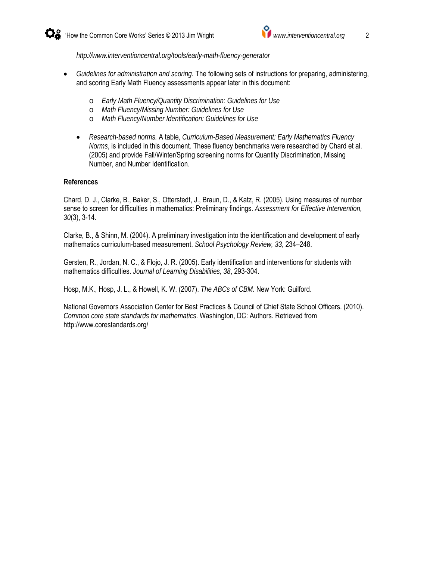*http://www.interventioncentral.org/tools/early-math-fluency-generator*

- *Guidelines for administration and scoring.* The following sets of instructions for preparing, administering, and scoring Early Math Fluency assessments appear later in this document:
	- o *Early Math Fluency/Quantity Discrimination: Guidelines for Use*
	- o *Math Fluency/Missing Number: Guidelines for Use*
	- o *Math Fluency/Number Identification: Guidelines for Use*
	- *Research-based norms.* A table, *Curriculum-Based Measurement: Early Mathematics Fluency Norms*, is included in this document. These fluency benchmarks were researched by Chard et al. (2005) and provide Fall/Winter/Spring screening norms for Quantity Discrimination, Missing Number, and Number Identification.

#### **References**

Chard, D. J., Clarke, B., Baker, S., Otterstedt, J., Braun, D., & Katz, R. (2005). Using measures of number sense to screen for difficulties in mathematics: Preliminary findings. *Assessment for Effective Intervention, 30*(3), 3-14.

Clarke, B., & Shinn, M. (2004). A preliminary investigation into the identification and development of early mathematics curriculum-based measurement. *School Psychology Review, 33*, 234–248.

Gersten, R., Jordan, N. C., & Flojo, J. R. (2005). Early identification and interventions for students with mathematics difficulties. *Journal of Learning Disabilities, 38*, 293-304.

Hosp, M.K., Hosp, J. L., & Howell, K. W. (2007). *The ABCs of CBM.* New York: Guilford.

National Governors Association Center for Best Practices & Council of Chief State School Officers. (2010). *Common core state standards for mathematics*. Washington, DC: Authors. Retrieved from http://www.corestandards.org/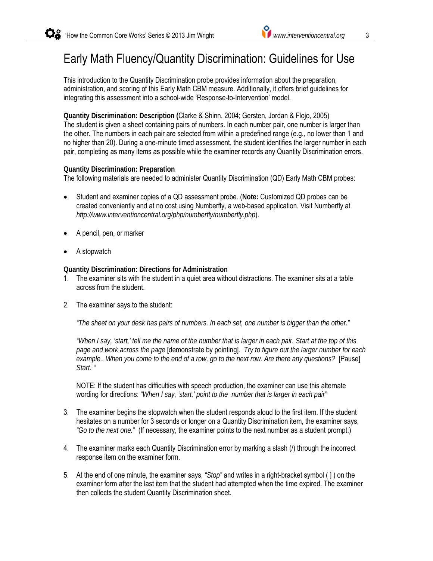# Early Math Fluency/Quantity Discrimination: Guidelines for Use

This introduction to the Quantity Discrimination probe provides information about the preparation, administration, and scoring of this Early Math CBM measure. Additionally, it offers brief guidelines for integrating this assessment into a school-wide 'Response-to-Intervention' model.

**Quantity Discrimination: Description (**Clarke & Shinn, 2004; Gersten, Jordan & Flojo, 2005) The student is given a sheet containing pairs of numbers. In each number pair, one number is larger than the other. The numbers in each pair are selected from within a predefined range (e.g., no lower than 1 and no higher than 20). During a one-minute timed assessment, the student identifies the larger number in each pair, completing as many items as possible while the examiner records any Quantity Discrimination errors.

#### **Quantity Discrimination: Preparation**

The following materials are needed to administer Quantity Discrimination (QD) Early Math CBM probes:

- Student and examiner copies of a QD assessment probe. (**Note:** Customized QD probes can be created conveniently and at no cost using Numberfly, a web-based application. Visit Numberfly at *http://www.interventioncentral.org/php/numberfly/numberfly.php*).
- A pencil, pen, or marker
- A stopwatch

**Quantity Discrimination: Directions for Administration** 

- 1. The examiner sits with the student in a quiet area without distractions. The examiner sits at a table across from the student.
- 2. The examiner says to the student:

*"The sheet on your desk has pairs of numbers. In each set, one number is bigger than the other."*

*"When I say, 'start,' tell me the name of the number that is larger in each pair. Start at the top of this page and work across the page* [demonstrate by pointing]*. Try to figure out the larger number for each example.. When you come to the end of a row, go to the next row. Are there any questions?* [Pause] *Start. "*

NOTE: If the student has difficulties with speech production, the examiner can use this alternate wording for directions: *"When I say, 'start,' point to the number that is larger in each pair"*

- 3. The examiner begins the stopwatch when the student responds aloud to the first item. If the student hesitates on a number for 3 seconds or longer on a Quantity Discrimination item, the examiner says, *"Go to the next one."* (If necessary, the examiner points to the next number as a student prompt.)
- 4. The examiner marks each Quantity Discrimination error by marking a slash (/) through the incorrect response item on the examiner form.
- 5. At the end of one minute, the examiner says, *"Stop"* and writes in a right-bracket symbol ( ] ) on the examiner form after the last item that the student had attempted when the time expired. The examiner then collects the student Quantity Discrimination sheet.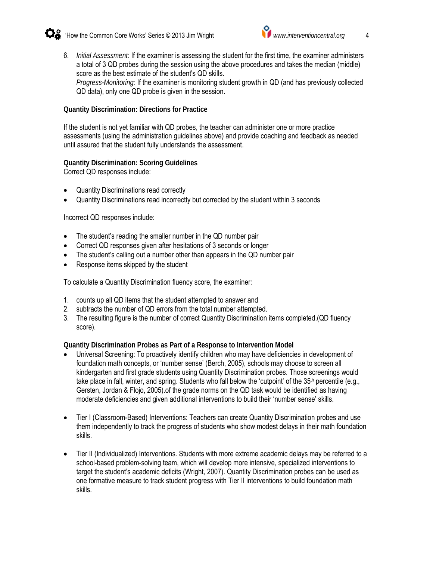6. *Initial Assessment:* If the examiner is assessing the student for the first time, the examiner administers a total of 3 QD probes during the session using the above procedures and takes the median (middle) score as the best estimate of the student's QD skills. *Progress-Monitoring:* If the examiner is monitoring student growth in QD (and has previously collected QD data), only one QD probe is given in the session.

#### **Quantity Discrimination: Directions for Practice**

If the student is not yet familiar with QD probes, the teacher can administer one or more practice assessments (using the administration guidelines above) and provide coaching and feedback as needed until assured that the student fully understands the assessment.

## **Quantity Discrimination: Scoring Guidelines**

Correct QD responses include:

- Quantity Discriminations read correctly
- Quantity Discriminations read incorrectly but corrected by the student within 3 seconds

Incorrect QD responses include:

- The student's reading the smaller number in the QD number pair
- Correct QD responses given after hesitations of 3 seconds or longer
- The student's calling out a number other than appears in the QD number pair
- Response items skipped by the student

To calculate a Quantity Discrimination fluency score, the examiner:

- 1. counts up all QD items that the student attempted to answer and
- 2. subtracts the number of QD errors from the total number attempted.
- 3. The resulting figure is the number of correct Quantity Discrimination items completed.(QD fluency score).

#### **Quantity Discrimination Probes as Part of a Response to Intervention Model**

- Universal Screening: To proactively identify children who may have deficiencies in development of foundation math concepts, or 'number sense' (Berch, 2005), schools may choose to screen all kindergarten and first grade students using Quantity Discrimination probes. Those screenings would take place in fall, winter, and spring. Students who fall below the 'cutpoint' of the  $35<sup>th</sup>$  percentile (e.g., Gersten, Jordan & Flojo, 2005).of the grade norms on the QD task would be identified as having moderate deficiencies and given additional interventions to build their 'number sense' skills.
- Tier I (Classroom-Based) Interventions: Teachers can create Quantity Discrimination probes and use them independently to track the progress of students who show modest delays in their math foundation skills.
- Tier II (Individualized) Interventions. Students with more extreme academic delays may be referred to a school-based problem-solving team, which will develop more intensive, specialized interventions to target the student's academic deficits (Wright, 2007). Quantity Discrimination probes can be used as one formative measure to track student progress with Tier II interventions to build foundation math skills.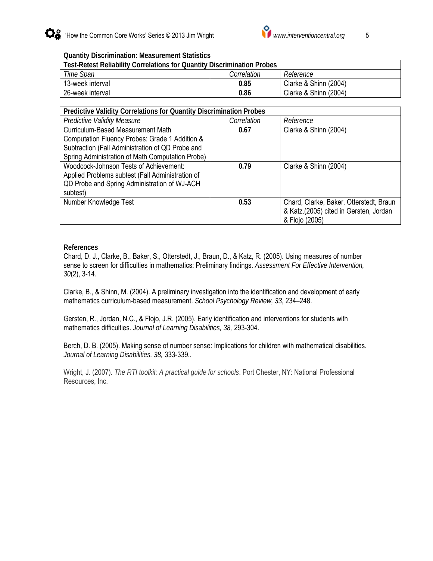

#### **Quantity Discrimination: Measurement Statistics**

| Test-Retest Reliability Correlations for Quantity Discrimination Probes |           |                       |  |  |  |  |  |
|-------------------------------------------------------------------------|-----------|-----------------------|--|--|--|--|--|
| Time Span                                                               | Reference |                       |  |  |  |  |  |
| 13-week interval                                                        | 0.85      | Clarke & Shinn (2004) |  |  |  |  |  |
| 26-week interval                                                        | 0.86      | Clarke & Shinn (2004) |  |  |  |  |  |

| Predictive Validity Correlations for Quantity Discrimination Probes |             |                                         |  |  |  |  |
|---------------------------------------------------------------------|-------------|-----------------------------------------|--|--|--|--|
| <b>Predictive Validity Measure</b>                                  | Correlation | Reference                               |  |  |  |  |
| Curriculum-Based Measurement Math                                   | 0.67        | Clarke & Shinn (2004)                   |  |  |  |  |
| Computation Fluency Probes: Grade 1 Addition &                      |             |                                         |  |  |  |  |
| Subtraction (Fall Administration of QD Probe and                    |             |                                         |  |  |  |  |
| Spring Administration of Math Computation Probe)                    |             |                                         |  |  |  |  |
| Woodcock-Johnson Tests of Achievement:                              | 0.79        | Clarke & Shinn (2004)                   |  |  |  |  |
| Applied Problems subtest (Fall Administration of                    |             |                                         |  |  |  |  |
| QD Probe and Spring Administration of WJ-ACH                        |             |                                         |  |  |  |  |
| subtest)                                                            |             |                                         |  |  |  |  |
| Number Knowledge Test                                               | 0.53        | Chard, Clarke, Baker, Otterstedt, Braun |  |  |  |  |
|                                                                     |             | & Katz.(2005) cited in Gersten, Jordan  |  |  |  |  |
|                                                                     |             | & Flojo (2005)                          |  |  |  |  |

#### **References**

Chard, D. J., Clarke, B., Baker, S., Otterstedt, J., Braun, D., & Katz, R. (2005). Using measures of number sense to screen for difficulties in mathematics: Preliminary findings. *Assessment For Effective Intervention, 30*(2), 3-14.

Clarke, B., & Shinn, M. (2004). A preliminary investigation into the identification and development of early mathematics curriculum-based measurement. *School Psychology Review, 33*, 234–248.

Gersten, R., Jordan, N.C., & Flojo, J.R. (2005). Early identification and interventions for students with mathematics difficulties. *Journal of Learning Disabilities, 38,* 293-304.

Berch, D. B. (2005). Making sense of number sense: Implications for children with mathematical disabilities. *Journal of Learning Disabilities, 38,* 333-339..

Wright, J. (2007). *The RTI toolkit: A practical guide for schools*. Port Chester, NY: National Professional Resources, Inc.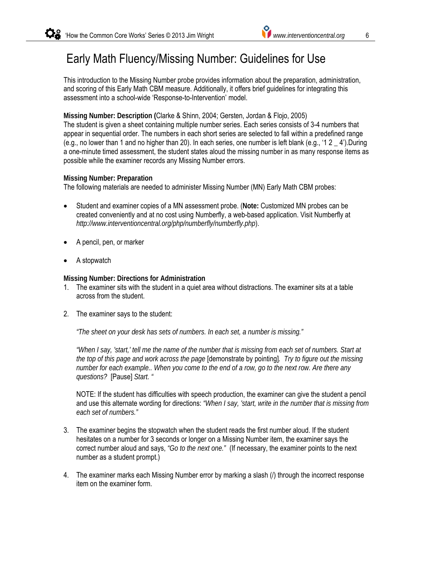# Early Math Fluency/Missing Number: Guidelines for Use

This introduction to the Missing Number probe provides information about the preparation, administration, and scoring of this Early Math CBM measure. Additionally, it offers brief guidelines for integrating this assessment into a school-wide 'Response-to-Intervention' model.

## **Missing Number: Description (**Clarke & Shinn, 2004; Gersten, Jordan & Flojo, 2005)

The student is given a sheet containing multiple number series. Each series consists of 3-4 numbers that appear in sequential order. The numbers in each short series are selected to fall within a predefined range (e.g., no lower than 1 and no higher than 20). In each series, one number is left blank (e.g., '1 2  $\pm$  4'). During a one-minute timed assessment, the student states aloud the missing number in as many response items as possible while the examiner records any Missing Number errors.

#### **Missing Number: Preparation**

The following materials are needed to administer Missing Number (MN) Early Math CBM probes:

- Student and examiner copies of a MN assessment probe. (**Note:** Customized MN probes can be created conveniently and at no cost using Numberfly, a web-based application. Visit Numberfly at *http://www.interventioncentral.org/php/numberfly/numberfly.php*).
- A pencil, pen, or marker
- A stopwatch

**Missing Number: Directions for Administration** 

- 1. The examiner sits with the student in a quiet area without distractions. The examiner sits at a table across from the student.
- 2. The examiner says to the student:

*"The sheet on your desk has sets of numbers. In each set, a number is missing."*

*"When I say, 'start,' tell me the name of the number that is missing from each set of numbers. Start at the top of this page and work across the page* [demonstrate by pointing]*. Try to figure out the missing number for each example.. When you come to the end of a row, go to the next row. Are there any questions?* [Pause] *Start. "* 

NOTE: If the student has difficulties with speech production, the examiner can give the student a pencil and use this alternate wording for directions: *"When I say, 'start, write in the number that is missing from each set of numbers."*

- 3. The examiner begins the stopwatch when the student reads the first number aloud. If the student hesitates on a number for 3 seconds or longer on a Missing Number item, the examiner says the correct number aloud and says, *"Go to the next one."* (If necessary, the examiner points to the next number as a student prompt.)
- 4. The examiner marks each Missing Number error by marking a slash (/) through the incorrect response item on the examiner form.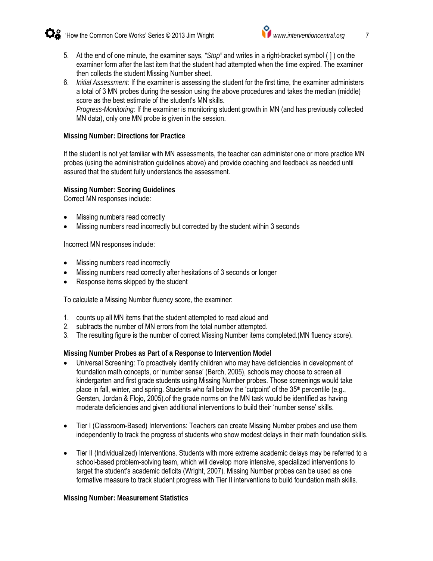- 5. At the end of one minute, the examiner says, *"Stop"* and writes in a right-bracket symbol ( ] ) on the examiner form after the last item that the student had attempted when the time expired. The examiner then collects the student Missing Number sheet.
- 6. *Initial Assessment:* If the examiner is assessing the student for the first time, the examiner administers a total of 3 MN probes during the session using the above procedures and takes the median (middle) score as the best estimate of the student's MN skills. *Progress-Monitoring:* If the examiner is monitoring student growth in MN (and has previously collected MN data), only one MN probe is given in the session.

#### **Missing Number: Directions for Practice**

If the student is not yet familiar with MN assessments, the teacher can administer one or more practice MN probes (using the administration guidelines above) and provide coaching and feedback as needed until assured that the student fully understands the assessment.

**Missing Number: Scoring Guidelines**  Correct MN responses include:

- Missing numbers read correctly
- Missing numbers read incorrectly but corrected by the student within 3 seconds

Incorrect MN responses include:

- Missing numbers read incorrectly
- Missing numbers read correctly after hesitations of 3 seconds or longer
- Response items skipped by the student

To calculate a Missing Number fluency score, the examiner:

- 1. counts up all MN items that the student attempted to read aloud and
- 2. subtracts the number of MN errors from the total number attempted.
- 3. The resulting figure is the number of correct Missing Number items completed.(MN fluency score).

## **Missing Number Probes as Part of a Response to Intervention Model**

- Universal Screening: To proactively identify children who may have deficiencies in development of foundation math concepts, or 'number sense' (Berch, 2005), schools may choose to screen all kindergarten and first grade students using Missing Number probes. Those screenings would take place in fall, winter, and spring. Students who fall below the 'cutpoint' of the 35<sup>th</sup> percentile (e.g., Gersten, Jordan & Flojo, 2005).of the grade norms on the MN task would be identified as having moderate deficiencies and given additional interventions to build their 'number sense' skills.
- Tier I (Classroom-Based) Interventions: Teachers can create Missing Number probes and use them independently to track the progress of students who show modest delays in their math foundation skills.
- Tier II (Individualized) Interventions. Students with more extreme academic delays may be referred to a school-based problem-solving team, which will develop more intensive, specialized interventions to target the student's academic deficits (Wright, 2007). Missing Number probes can be used as one formative measure to track student progress with Tier II interventions to build foundation math skills.

#### **Missing Number: Measurement Statistics**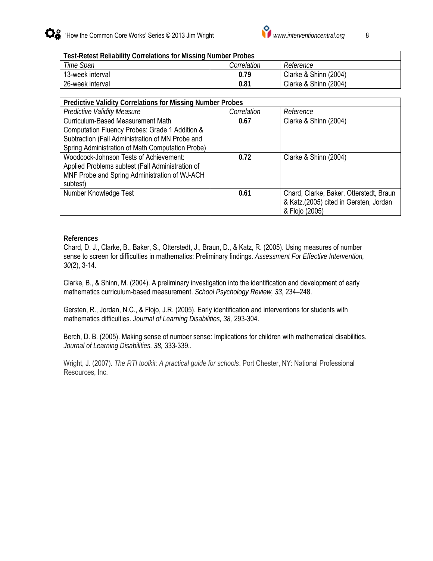

| <b>Test-Retest Reliability Correlations for Missing Number Probes</b> |      |                       |  |  |  |  |
|-----------------------------------------------------------------------|------|-----------------------|--|--|--|--|
| Time Span<br>Correlation<br>Reference                                 |      |                       |  |  |  |  |
| 13-week interval                                                      | 0.79 | Clarke & Shinn (2004) |  |  |  |  |
| 26-week interval                                                      | 0.81 | Clarke & Shinn (2004) |  |  |  |  |

| <b>Predictive Validity Correlations for Missing Number Probes</b> |             |                                         |  |  |  |  |  |
|-------------------------------------------------------------------|-------------|-----------------------------------------|--|--|--|--|--|
| <b>Predictive Validity Measure</b>                                | Correlation | Reference                               |  |  |  |  |  |
| Curriculum-Based Measurement Math                                 | 0.67        | Clarke & Shinn (2004)                   |  |  |  |  |  |
| Computation Fluency Probes: Grade 1 Addition &                    |             |                                         |  |  |  |  |  |
| Subtraction (Fall Administration of MN Probe and                  |             |                                         |  |  |  |  |  |
| Spring Administration of Math Computation Probe)                  |             |                                         |  |  |  |  |  |
| Woodcock-Johnson Tests of Achievement:                            | 0.72        | Clarke & Shinn (2004)                   |  |  |  |  |  |
| Applied Problems subtest (Fall Administration of                  |             |                                         |  |  |  |  |  |
| MNF Probe and Spring Administration of WJ-ACH                     |             |                                         |  |  |  |  |  |
| subtest)                                                          |             |                                         |  |  |  |  |  |
| Number Knowledge Test                                             | 0.61        | Chard, Clarke, Baker, Otterstedt, Braun |  |  |  |  |  |
|                                                                   |             | & Katz.(2005) cited in Gersten, Jordan  |  |  |  |  |  |
|                                                                   |             | & Flojo (2005)                          |  |  |  |  |  |

#### **References**

Chard, D. J., Clarke, B., Baker, S., Otterstedt, J., Braun, D., & Katz, R. (2005). Using measures of number sense to screen for difficulties in mathematics: Preliminary findings. *Assessment For Effective Intervention, 30*(2), 3-14.

Clarke, B., & Shinn, M. (2004). A preliminary investigation into the identification and development of early mathematics curriculum-based measurement. *School Psychology Review, 33*, 234–248.

Gersten, R., Jordan, N.C., & Flojo, J.R. (2005). Early identification and interventions for students with mathematics difficulties. *Journal of Learning Disabilities, 38,* 293-304.

Berch, D. B. (2005). Making sense of number sense: Implications for children with mathematical disabilities. *Journal of Learning Disabilities, 38,* 333-339..

Wright, J. (2007). *The RTI toolkit: A practical guide for schools*. Port Chester, NY: National Professional Resources, Inc.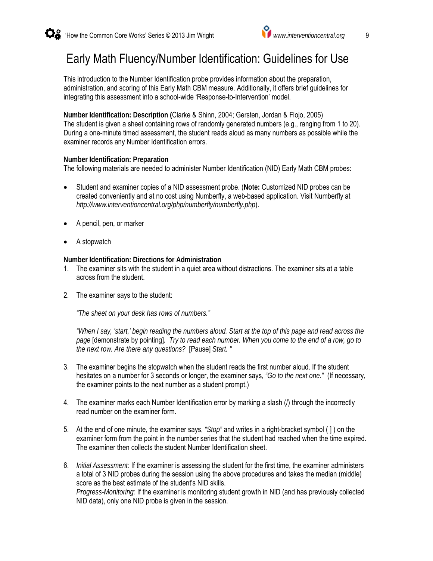## Early Math Fluency/Number Identification: Guidelines for Use

This introduction to the Number Identification probe provides information about the preparation, administration, and scoring of this Early Math CBM measure. Additionally, it offers brief guidelines for integrating this assessment into a school-wide 'Response-to-Intervention' model.

**Number Identification: Description (**Clarke & Shinn, 2004; Gersten, Jordan & Flojo, 2005) The student is given a sheet containing rows of randomly generated numbers (e.g., ranging from 1 to 20). During a one-minute timed assessment, the student reads aloud as many numbers as possible while the examiner records any Number Identification errors.

#### **Number Identification: Preparation**

The following materials are needed to administer Number Identification (NID) Early Math CBM probes:

- Student and examiner copies of a NID assessment probe. (**Note:** Customized NID probes can be created conveniently and at no cost using Numberfly, a web-based application. Visit Numberfly at *http://www.interventioncentral.org/php/numberfly/numberfly.php*).
- A pencil, pen, or marker
- A stopwatch

**Number Identification: Directions for Administration** 

- 1. The examiner sits with the student in a quiet area without distractions. The examiner sits at a table across from the student.
- 2. The examiner says to the student:

*"The sheet on your desk has rows of numbers."*

*"When I say, 'start,' begin reading the numbers aloud. Start at the top of this page and read across the page* [demonstrate by pointing]*. Try to read each number. When you come to the end of a row, go to the next row. Are there any questions?* [Pause] *Start. "*

- 3. The examiner begins the stopwatch when the student reads the first number aloud. If the student hesitates on a number for 3 seconds or longer, the examiner says, *"Go to the next one."* (If necessary, the examiner points to the next number as a student prompt.)
- 4. The examiner marks each Number Identification error by marking a slash (/) through the incorrectly read number on the examiner form.
- 5. At the end of one minute, the examiner says, *"Stop"* and writes in a right-bracket symbol ( ] ) on the examiner form from the point in the number series that the student had reached when the time expired. The examiner then collects the student Number Identification sheet.
- 6. *Initial Assessment:* If the examiner is assessing the student for the first time, the examiner administers a total of 3 NID probes during the session using the above procedures and takes the median (middle) score as the best estimate of the student's NID skills. *Progress-Monitoring:* If the examiner is monitoring student growth in NID (and has previously collected NID data), only one NID probe is given in the session.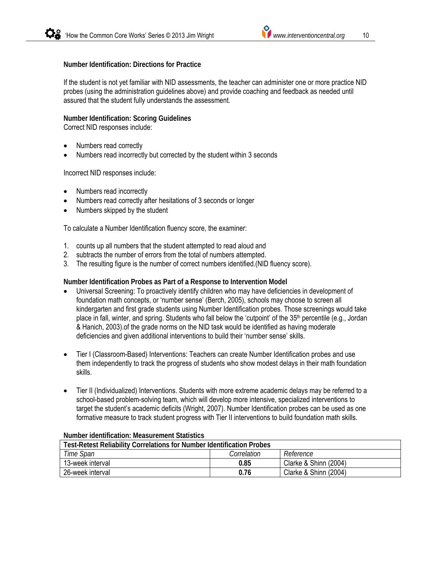#### **Number Identification: Directions for Practice**

If the student is not yet familiar with NID assessments, the teacher can administer one or more practice NID probes (using the administration guidelines above) and provide coaching and feedback as needed until assured that the student fully understands the assessment.

**Number Identification: Scoring Guidelines**  Correct NID responses include:

- Numbers read correctly
- Numbers read incorrectly but corrected by the student within 3 seconds

Incorrect NID responses include:

- Numbers read incorrectly
- Numbers read correctly after hesitations of 3 seconds or longer
- Numbers skipped by the student

To calculate a Number Identification fluency score, the examiner:

- 1. counts up all numbers that the student attempted to read aloud and
- 2. subtracts the number of errors from the total of numbers attempted.
- 3. The resulting figure is the number of correct numbers identified.(NID fluency score).

**Number Identification Probes as Part of a Response to Intervention Model** 

- Universal Screening: To proactively identify children who may have deficiencies in development of foundation math concepts, or 'number sense' (Berch, 2005), schools may choose to screen all kindergarten and first grade students using Number Identification probes. Those screenings would take place in fall, winter, and spring. Students who fall below the 'cutpoint' of the 35<sup>th</sup> percentile (e.g., Jordan & Hanich, 2003).of the grade norms on the NID task would be identified as having moderate deficiencies and given additional interventions to build their 'number sense' skills.
- Tier I (Classroom-Based) Interventions: Teachers can create Number Identification probes and use them independently to track the progress of students who show modest delays in their math foundation skills.
- Tier II (Individualized) Interventions. Students with more extreme academic delays may be referred to a school-based problem-solving team, which will develop more intensive, specialized interventions to target the student's academic deficits (Wright, 2007). Number Identification probes can be used as one formative measure to track student progress with Tier II interventions to build foundation math skills.

| <b>Test-Retest Reliability Correlations for Number Identification Probes</b> |      |                       |  |  |  |  |  |
|------------------------------------------------------------------------------|------|-----------------------|--|--|--|--|--|
| Time Span<br>Correlation<br>Reference                                        |      |                       |  |  |  |  |  |
| 13-week interval                                                             | 0.85 | Clarke & Shinn (2004) |  |  |  |  |  |
| 26-week interval                                                             | 0.76 | Clarke & Shinn (2004) |  |  |  |  |  |

#### **Number identification: Measurement Statistics**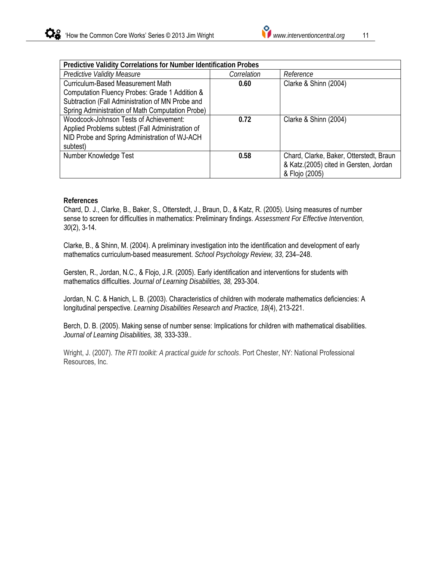

| Predictive Validity Correlations for Number Identification Probes |             |                                         |  |  |  |  |  |
|-------------------------------------------------------------------|-------------|-----------------------------------------|--|--|--|--|--|
| <b>Predictive Validity Measure</b>                                | Correlation | Reference                               |  |  |  |  |  |
| Curriculum-Based Measurement Math                                 | 0.60        | Clarke & Shinn (2004)                   |  |  |  |  |  |
| Computation Fluency Probes: Grade 1 Addition &                    |             |                                         |  |  |  |  |  |
| Subtraction (Fall Administration of MN Probe and                  |             |                                         |  |  |  |  |  |
| Spring Administration of Math Computation Probe)                  |             |                                         |  |  |  |  |  |
| Woodcock-Johnson Tests of Achievement:                            | 0.72        | Clarke & Shinn (2004)                   |  |  |  |  |  |
| Applied Problems subtest (Fall Administration of                  |             |                                         |  |  |  |  |  |
| NID Probe and Spring Administration of WJ-ACH                     |             |                                         |  |  |  |  |  |
| subtest)                                                          |             |                                         |  |  |  |  |  |
| Number Knowledge Test                                             | 0.58        | Chard, Clarke, Baker, Otterstedt, Braun |  |  |  |  |  |
|                                                                   |             | & Katz.(2005) cited in Gersten, Jordan  |  |  |  |  |  |
|                                                                   |             | & Flojo (2005)                          |  |  |  |  |  |

#### **References**

Chard, D. J., Clarke, B., Baker, S., Otterstedt, J., Braun, D., & Katz, R. (2005). Using measures of number sense to screen for difficulties in mathematics: Preliminary findings. *Assessment For Effective Intervention, 30*(2), 3-14.

Clarke, B., & Shinn, M. (2004). A preliminary investigation into the identification and development of early mathematics curriculum-based measurement. *School Psychology Review, 33*, 234–248.

Gersten, R., Jordan, N.C., & Flojo, J.R. (2005). Early identification and interventions for students with mathematics difficulties. *Journal of Learning Disabilities, 38,* 293-304.

Jordan, N. C. & Hanich, L. B. (2003). Characteristics of children with moderate mathematics deficiencies: A longitudinal perspective. *Learning Disabilities Research and Practice, 18*(4), 213-221.

Berch, D. B. (2005). Making sense of number sense: Implications for children with mathematical disabilities. *Journal of Learning Disabilities, 38,* 333-339..

Wright, J. (2007). *The RTI toolkit: A practical guide for schools*. Port Chester, NY: National Professional Resources, Inc.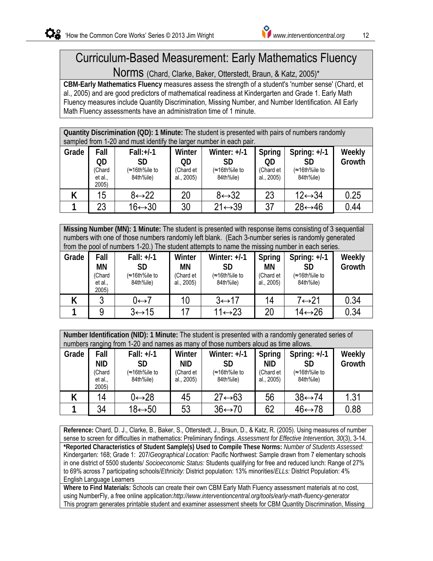# Curriculum-Based Measurement: Early Mathematics Fluency

Norms (Chard, Clarke, Baker, Otterstedt, Braun, & Katz, 2005)\*

**CBM-Early Mathematics Fluency** measures assess the strength of a student's 'number sense' (Chard, et al., 2005) and are good predictors of mathematical readiness at Kindergarten and Grade 1. Early Math Fluency measures include Quantity Discrimination, Missing Number, and Number Identification. All Early Math Fluency assessments have an administration time of 1 minute.

**Quantity Discrimination (QD): 1 Minute:** The student is presented with pairs of numbers randomly sampled from 1-20 and must identify the larger number in each pair.

| Grade | Fall<br>QD<br>(Chard<br>et al.,<br>2005) | $Fall:+/1$<br><b>SD</b><br>(≈16th%ile to<br>84th%ile) | Winter<br>QD<br>(Chard et<br>al., 2005) | Winter: $+/-1$<br>SD<br>(≈16th%ile to<br>84th%ile) | Spring<br>OD<br>(Chard et<br>al., 2005) | Spring: $+/-1$<br>SD<br>(≈16th%ile to<br>84th%ile) | Weekly<br>Growth |  |
|-------|------------------------------------------|-------------------------------------------------------|-----------------------------------------|----------------------------------------------------|-----------------------------------------|----------------------------------------------------|------------------|--|
|       | 15                                       | 8↔22                                                  | 20                                      | $8 \leftrightarrow 32$                             | 23                                      | $12 \leftrightarrow 34$                            | 0.25             |  |
|       | 23                                       | $16 \leftrightarrow 30$                               | 30                                      | $21 \leftrightarrow 39$                            | 37                                      | $28 \leftrightarrow 46$                            | 0.44             |  |

**Missing Number (MN): 1 Minute:** The student is presented with response items consisting of 3 sequential numbers with one of those numbers randomly left blank. (Each 3-number series is randomly generated from the pool of numbers 1-20.) The student attempts to name the missing number in each series.

| Grade | Fall<br>MN<br>Chard<br>et al.,<br>2005) | Fall: $+/-1$<br><b>SD</b><br>(≈16th%ile to<br>84th%ile) | Winter<br>ΜN<br>(Chard et<br>al., 2005) | Winter: $+/-1$<br>SD<br>(≈16th%ile to<br>84th%ile) | Spring<br>ΜN<br>(Chard et<br>al., 2005) | Spring: $+/-1$<br>SD<br>(≈16th%ile to<br>84th%ile) | Weekly<br>Growth |
|-------|-----------------------------------------|---------------------------------------------------------|-----------------------------------------|----------------------------------------------------|-----------------------------------------|----------------------------------------------------|------------------|
|       |                                         | 0⇔7                                                     | 10                                      | $3 \leftrightarrow 17$                             | 14                                      | 7↔21                                               | 0.34             |
|       |                                         | $3 \leftrightarrow 15$                                  | 17                                      | $1 \leftrightarrow 23$                             | 20                                      | 14↔26                                              | 0.34             |

**Number Identification (NID): 1 Minute:** The student is presented with a randomly generated series of numbers ranging from 1-20 and names as many of those numbers aloud as time allows.

| Grade | ັັ<br>Fall<br><b>NID</b><br>(Chard<br>et al.,<br>2005) | Fall: $+/-1$<br><b>SD</b><br>(≈16th%ile to<br>84th%ile) | Winter<br><b>NID</b><br>(Chard et<br>al., 2005) | Winter: $+/-1$<br>SD<br>(≈16th%ile to<br>84th%ile) | Spring<br><b>NID</b><br>(Chard et<br>al., 2005) | Spring: $+/-1$<br>SD<br>(≈16th%ile to<br>84th%ile) | Weekly<br>Growth |
|-------|--------------------------------------------------------|---------------------------------------------------------|-------------------------------------------------|----------------------------------------------------|-------------------------------------------------|----------------------------------------------------|------------------|
|       | 14                                                     | 0↔28                                                    | 45                                              | $27 \leftrightarrow 63$                            | 56                                              | $38 \leftrightarrow 74$                            | 1.31             |
|       | 34                                                     | $18 \leftrightarrow 50$                                 | 53                                              | $36 \leftrightarrow 70$                            | 62                                              | $46 \leftrightarrow 78$                            | 0.88             |

**Reference:** Chard, D. J., Clarke, B., Baker, S., Otterstedt, J., Braun, D., & Katz, R. (2005). Using measures of number sense to screen for difficulties in mathematics: Preliminary findings. *Assessment for Effective Intervention, 30*(3), 3-14. **\*Reported Characteristics of Student Sample(s) Used to Compile These Norms:** *Number of Students Assessed:* Kindergarten: 168; Grade 1: 207/*Geographical Location:* Pacific Northwest: Sample drawn from 7 elementary schools in one district of 5500 students/ *Socioeconomic Status:* Students qualifying for free and reduced lunch: Range of 27% to 69% across 7 participating schools/*Ethnicity:* District population: 13% minorities/*ELLs:* District Population: 4% English Language Learners

**Where to Find Materials:** Schools can create their own CBM Early Math Fluency assessment materials at no cost, using NumberFly, a free online application:*http://www.interventioncentral.org/tools/early-math-fluency-generator* This program generates printable student and examiner assessment sheets for CBM Quantity Discrimination, Missing